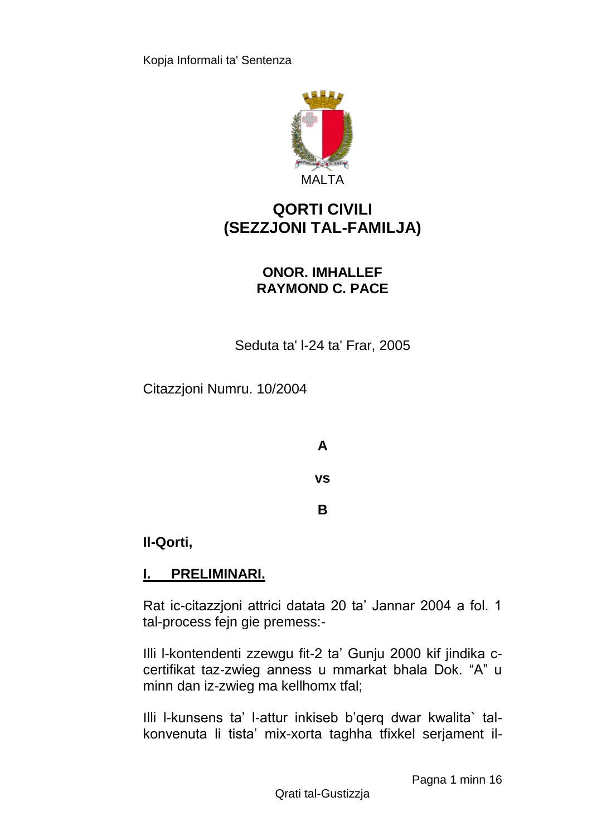

# **QORTI CIVILI (SEZZJONI TAL-FAMILJA)**

## **ONOR. IMHALLEF RAYMOND C. PACE**

Seduta ta' l-24 ta' Frar, 2005

Citazzjoni Numru. 10/2004

**A vs B**

### **Il-Qorti,**

## **I. PRELIMINARI.**

Rat ic-citazzjoni attrici datata 20 ta' Jannar 2004 a fol. 1 tal-process fejn gie premess:-

Illi l-kontendenti zzewgu fit-2 ta' Gunju 2000 kif jindika ccertifikat taz-zwieg anness u mmarkat bhala Dok. "A" u minn dan iz-zwieg ma kellhomx tfal;

Illi l-kunsens ta' l-attur inkiseb b'qerq dwar kwalita` talkonvenuta li tista' mix-xorta taghha tfixkel serjament il-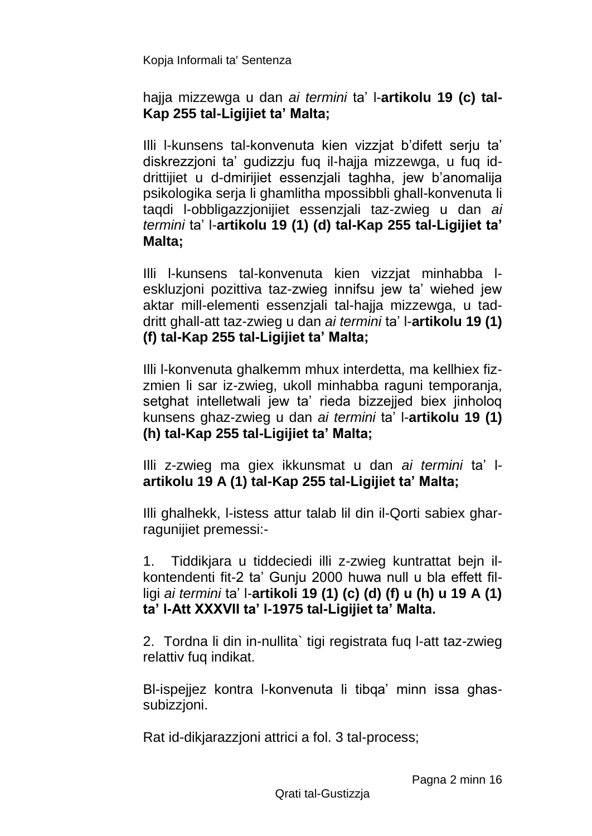### hajja mizzewga u dan *ai termini* ta' l-**artikolu 19 (c) tal-Kap 255 tal-Ligijiet ta' Malta;**

Illi l-kunsens tal-konvenuta kien vizzjat b'difett serju ta' diskrezzjoni ta' gudizzju fuq il-hajja mizzewga, u fuq iddrittijiet u d-dmirijiet essenzjali taghha, jew b'anomalija psikologika serja li ghamlitha mpossibbli ghall-konvenuta li taqdi l-obbligazzjonijiet essenzjali taz-zwieg u dan *ai termini* ta' l-**artikolu 19 (1) (d) tal-Kap 255 tal-Ligijiet ta' Malta;**

Illi l-kunsens tal-konvenuta kien vizzjat minhabba leskluzjoni pozittiva taz-zwieg innifsu jew ta' wiehed jew aktar mill-elementi essenzjali tal-hajja mizzewga, u taddritt ghall-att taz-zwieg u dan *ai termini* ta' l-**artikolu 19 (1) (f) tal-Kap 255 tal-Ligijiet ta' Malta;**

Illi l-konvenuta ghalkemm mhux interdetta, ma kellhiex fizzmien li sar iz-zwieg, ukoll minhabba raguni temporanja, setghat intelletwali jew ta' rieda bizzejjed biex jinholoq kunsens ghaz-zwieg u dan *ai termini* ta' l-**artikolu 19 (1) (h) tal-Kap 255 tal-Ligijiet ta' Malta;**

Illi z-zwieg ma giex ikkunsmat u dan *ai termini* ta' l**artikolu 19 A (1) tal-Kap 255 tal-Ligijiet ta' Malta;**

Illi ghalhekk, l-istess attur talab lil din il-Qorti sabiex gharragunijiet premessi:-

1. Tiddikjara u tiddeciedi illi z-zwieg kuntrattat bejn ilkontendenti fit-2 ta' Gunju 2000 huwa null u bla effett filligi *ai termini* ta' l-**artikoli 19 (1) (c) (d) (f) u (h) u 19 A (1) ta' l-Att XXXVII ta' l-1975 tal-Ligijiet ta' Malta.**

2. Tordna li din in-nullita` tigi registrata fuq l-att taz-zwieg relattiv fuq indikat.

Bl-ispejjez kontra l-konvenuta li tibqa' minn issa ghassubizzjoni.

Rat id-dikjarazzjoni attrici a fol. 3 tal-process;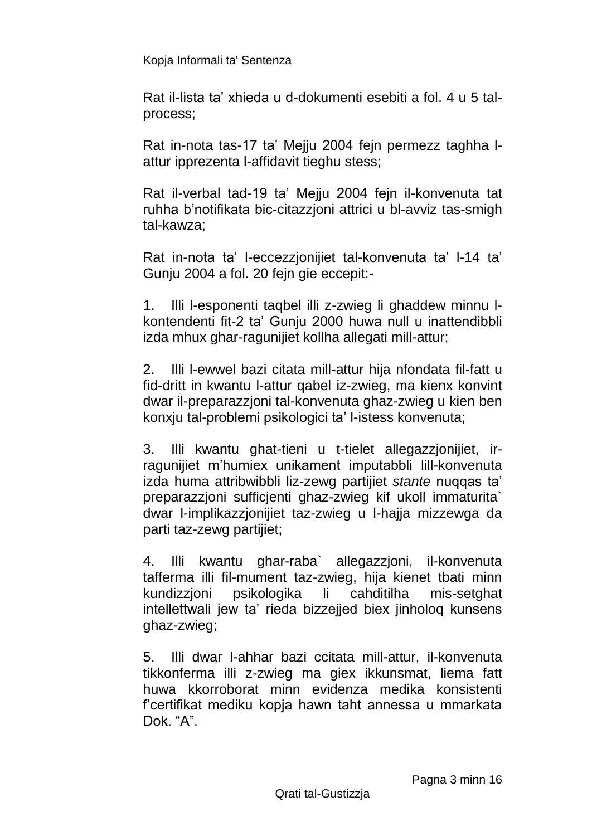Rat il-lista ta' xhieda u d-dokumenti esebiti a fol. 4 u 5 talprocess;

Rat in-nota tas-17 ta' Mejju 2004 fejn permezz taghha lattur ipprezenta l-affidavit tieghu stess;

Rat il-verbal tad-19 ta' Mejju 2004 fejn il-konvenuta tat ruhha b'notifikata bic-citazzjoni attrici u bl-avviz tas-smigh tal-kawza;

Rat in-nota ta' l-eccezzjonijiet tal-konvenuta ta' l-14 ta' Gunju 2004 a fol. 20 fejn gie eccepit:-

1. Illi l-esponenti taqbel illi z-zwieg li ghaddew minnu lkontendenti fit-2 ta' Gunju 2000 huwa null u inattendibbli izda mhux ghar-ragunijiet kollha allegati mill-attur;

2. Illi l-ewwel bazi citata mill-attur hija nfondata fil-fatt u fid-dritt in kwantu l-attur qabel iz-zwieg, ma kienx konvint dwar il-preparazzjoni tal-konvenuta ghaz-zwieg u kien ben konxju tal-problemi psikologici ta' l-istess konvenuta;

3. Illi kwantu ghat-tieni u t-tielet allegazzjonijiet, irragunijiet m'humiex unikament imputabbli lill-konvenuta izda huma attribwibbli liz-zewg partijiet *stante* nuqqas ta' preparazzjoni sufficjenti ghaz-zwieg kif ukoll immaturita` dwar l-implikazzjonijiet taz-zwieg u l-hajja mizzewga da parti taz-zewg partijiet;

4. Illi kwantu ghar-raba` allegazzjoni, il-konvenuta tafferma illi fil-mument taz-zwieg, hija kienet tbati minn kundizzjoni psikologika li cahditilha mis-setghat intellettwali jew ta' rieda bizzejjed biex jinholoq kunsens ghaz-zwieg;

5. Illi dwar l-ahhar bazi ccitata mill-attur, il-konvenuta tikkonferma illi z-zwieg ma giex ikkunsmat, liema fatt huwa kkorroborat minn evidenza medika konsistenti f'certifikat mediku kopja hawn taht annessa u mmarkata Dok. "A".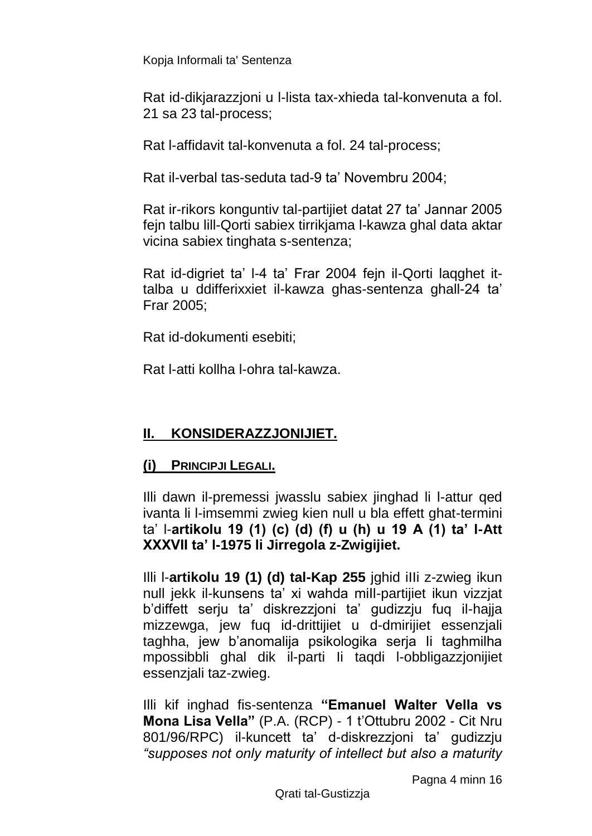Rat id-dikjarazzjoni u l-lista tax-xhieda tal-konvenuta a fol. 21 sa 23 tal-process;

Rat l-affidavit tal-konvenuta a fol. 24 tal-process;

Rat il-verbal tas-seduta tad-9 ta' Novembru 2004;

Rat ir-rikors konguntiv tal-partijiet datat 27 ta' Jannar 2005 fejn talbu lill-Qorti sabiex tirrikjama l-kawza ghal data aktar vicina sabiex tinghata s-sentenza;

Rat id-digriet ta' l-4 ta' Frar 2004 fejn il-Qorti laqghet ittalba u ddifferixxiet il-kawza ghas-sentenza ghall-24 ta' Frar 2005;

Rat id-dokumenti esebiti;

Rat l-atti kollha l-ohra tal-kawza.

## **II. KONSIDERAZZJONIJIET.**

### **(i) PRINCIPJI LEGALI.**

Illi dawn il-premessi jwasslu sabiex jinghad li l-attur qed ivanta li l-imsemmi zwieg kien null u bla effett ghat-termini ta' l-**artikolu 19 (1) (c) (d) (f) u (h) u 19 A (1) ta' l-Att XXXVII ta' l-1975 li Jirregola z-Zwigijiet.**

Illi l-**artikolu 19 (1) (d) tal-Kap 255** jghid iIIi z-zwieg ikun null jekk il-kunsens ta' xi wahda miIl-partijiet ikun vizzjat b'diffett serju ta' diskrezzjoni ta' gudizzju fuq il-hajja mizzewga, jew fuq id-drittijiet u d-dmirijiet essenzjali taghha, jew b'anomalija psikologika serja Ii taghmilha mpossibbli ghal dik il-parti Ii taqdi l-obbligazzjonijiet essenzjali taz-zwieg.

Illi kif inghad fis-sentenza **"Emanuel Walter Vella vs Mona Lisa Vella"** (P.A. (RCP) - 1 t'Ottubru 2002 - Cit Nru 801/96/RPC) il-kuncett ta' d-diskrezzjoni ta' gudizzju *"supposes not only maturity of intellect but also a maturity* 

Pagna 4 minn 16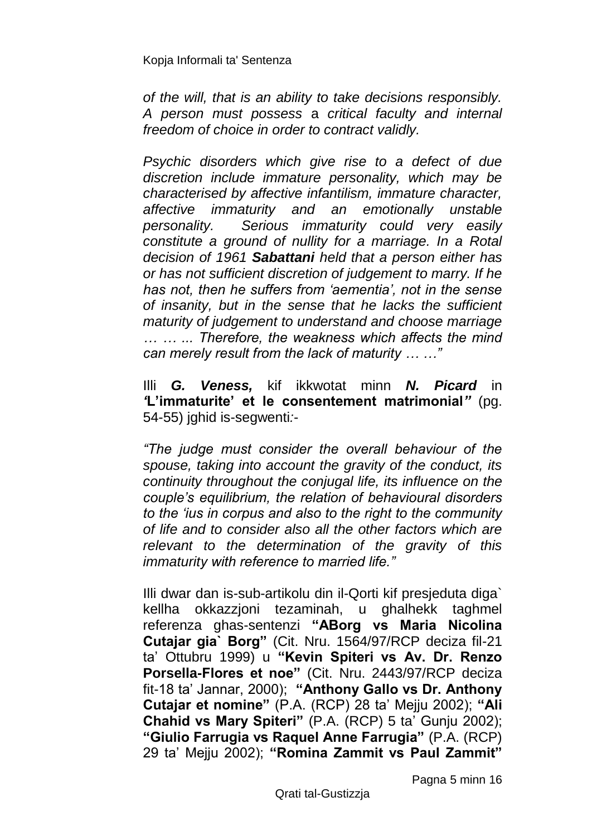*of the will, that is an ability to take decisions responsibly. A person must possess* a *critical faculty and internal freedom of choice in order to contract validly.*

*Psychic disorders which give rise to a defect of due discretion include immature personality, which may be characterised by affective infantilism, immature character, affective immaturity and an emotionally unstable personality. Serious immaturity could very easily constitute a ground of nullity for a marriage. In a Rotal decision of 1961 Sabattani held that a person either has or has not sufficient discretion of judgement to marry. If he has not, then he suffers from 'aementia', not in the sense of insanity, but in the sense that he lacks the sufficient maturity of judgement to understand and choose marriage … … ... Therefore, the weakness which affects the mind can merely result from the lack of maturity … …"*

Illi *G. Veness,* kif ikkwotat minn *N. Picard* in *'***L'immaturite' et le consentement matrimonial***"* (pg. 54-55) jghid is-segwenti*:*-

*"The judge must consider the overall behaviour of the spouse, taking into account the gravity of the conduct, its continuity throughout the conjugal life, its influence on the couple's equilibrium, the relation of behavioural disorders to the 'ius in corpus and also to the right to the community of life and to consider also all the other factors which are relevant to the determination of the gravity of this immaturity with reference to married life."*

Illi dwar dan is-sub-artikolu din il-Qorti kif presjeduta diga` kellha okkazzjoni tezaminah, u ghalhekk taghmel referenza ghas-sentenzi **"ABorg vs Maria Nicolina Cutajar gia` Borg"** (Cit. Nru. 1564/97/RCP deciza fil-21 ta' Ottubru 1999) u **"Kevin Spiteri vs Av. Dr. Renzo Porsella-Flores et noe"** (Cit. Nru. 2443/97/RCP deciza fit-18 ta' Jannar, 2000); **"Anthony Gallo vs Dr. Anthony Cutajar et nomine"** (P.A. (RCP) 28 ta' Mejju 2002); **"Ali Chahid vs Mary Spiteri"** (P.A. (RCP) 5 ta' Gunju 2002); **"Giulio Farrugia vs Raquel Anne Farrugia"** (P.A. (RCP) 29 ta' Mejju 2002); **"Romina Zammit vs Paul Zammit"**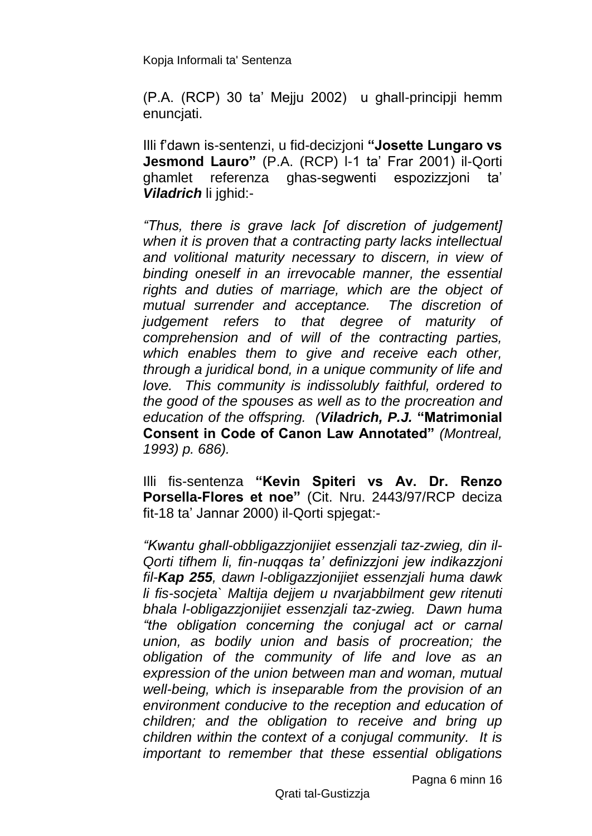(P.A. (RCP) 30 ta' Mejju 2002) u ghall-principji hemm enunciati.

Illi f'dawn is-sentenzi, u fid-decizjoni **"Josette Lungaro vs Jesmond Lauro"** (P.A. (RCP) l-1 ta' Frar 2001) il-Qorti ghamlet referenza ghas-segwenti espozizzjoni ta' *Viladrich* li jghid:-

*"Thus, there is grave lack [of discretion of judgement] when it is proven that a contracting party lacks intellectual and volitional maturity necessary to discern, in view of binding oneself in an irrevocable manner, the essential rights and duties of marriage, which are the object of mutual surrender and acceptance. The discretion of judgement refers to that degree of maturity of comprehension and of will of the contracting parties, which enables them to give and receive each other, through a juridical bond, in a unique community of life and love. This community is indissolubly faithful, ordered to the good of the spouses as well as to the procreation and education of the offspring. (Viladrich, P.J.* **"Matrimonial Consent in Code of Canon Law Annotated"** *(Montreal, 1993) p. 686).*

Illi fis-sentenza **"Kevin Spiteri vs Av. Dr. Renzo Porsella-Flores et noe"** (Cit. Nru. 2443/97/RCP deciza fit-18 ta' Jannar 2000) il-Qorti spjegat:-

*"Kwantu ghall-obbligazzjonijiet essenzjali taz-zwieg, din il-Qorti tifhem li, fin-nuqqas ta' definizzjoni jew indikazzjoni fil-Kap 255, dawn l-obligazzjonijiet essenzjali huma dawk li fis-socjeta` Maltija dejjem u nvarjabbilment gew ritenuti bhala l-obligazzjonijiet essenzjali taz-zwieg. Dawn huma "the obligation concerning the conjugal act or carnal union, as bodily union and basis of procreation; the obligation of the community of life and love as an expression of the union between man and woman, mutual well-being, which is inseparable from the provision of an environment conducive to the reception and education of children; and the obligation to receive and bring up children within the context of a conjugal community. It is important to remember that these essential obligations* 

Pagna 6 minn 16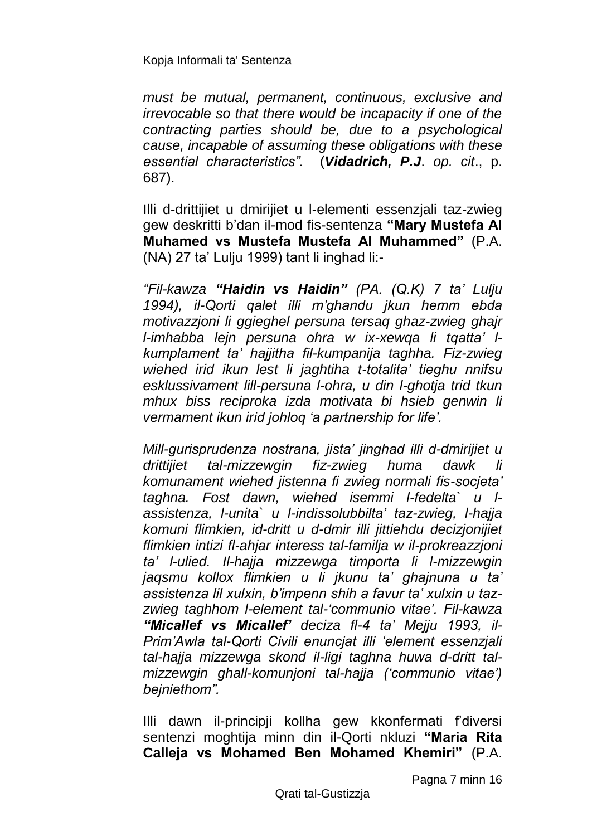*must be mutual, permanent, continuous, exclusive and irrevocable so that there would be incapacity if one of the contracting parties should be, due to a psychological cause, incapable of assuming these obligations with these essential characteristics".* (*Vidadrich, P.J*. *op. cit*., p. 687).

Illi d-drittijiet u dmirijiet u l-elementi essenzjali taz-zwieg gew deskritti b'dan il-mod fis-sentenza **"Mary Mustefa Al Muhamed vs Mustefa Mustefa Al Muhammed"** (P.A. (NA) 27 ta' Lulju 1999) tant li inghad li:-

*"Fil-kawza "Haidin vs Haidin" (PA. (Q.K) 7 ta' Lulju 1994), il-Qorti qalet illi m'ghandu jkun hemm ebda motivazzjoni li ggieghel persuna tersaq ghaz-zwieg ghajr l-imhabba lejn persuna ohra w ix-xewqa li tqatta' lkumplament ta' hajjitha fil-kumpanija taghha. Fiz-zwieg wiehed irid ikun lest li jaghtiha t-totalita' tieghu nnifsu esklussivament lill-persuna l-ohra, u din l-ghotja trid tkun mhux biss reciproka izda motivata bi hsieb genwin li vermament ikun irid johloq 'a partnership for life'.*

*Mill-gurisprudenza nostrana, jista' jinghad illi d-dmirijiet u drittijiet tal-mizzewgin fiz-zwieg huma dawk li komunament wiehed jistenna fi zwieg normali fis-socjeta' taghna. Fost dawn, wiehed isemmi l-fedelta` u lassistenza, l-unita` u l-indissolubbilta' taz-zwieg, l-hajja komuni flimkien, id-dritt u d-dmir illi jittiehdu decizjonijiet flimkien intizi fl-ahjar interess tal-familja w il-prokreazzjoni ta' l-ulied. Il-hajja mizzewga timporta li l-mizzewgin jaqsmu kollox flimkien u li jkunu ta' ghajnuna u ta' assistenza lil xulxin, b'impenn shih a favur ta' xulxin u tazzwieg taghhom l-element tal-'communio vitae'. Fil-kawza "Micallef vs Micallef' deciza fl-4 ta' Mejju 1993, il-Prim'Awla tal-Qorti Civili enuncjat illi 'element essenzjali tal-hajja mizzewga skond il-ligi taghna huwa d-dritt talmizzewgin ghall-komunjoni tal-hajja ('communio vitae') bejniethom".*

Illi dawn il-principji kollha gew kkonfermati f'diversi sentenzi moghtija minn din il-Qorti nkluzi **"Maria Rita Calleja vs Mohamed Ben Mohamed Khemiri"** (P.A.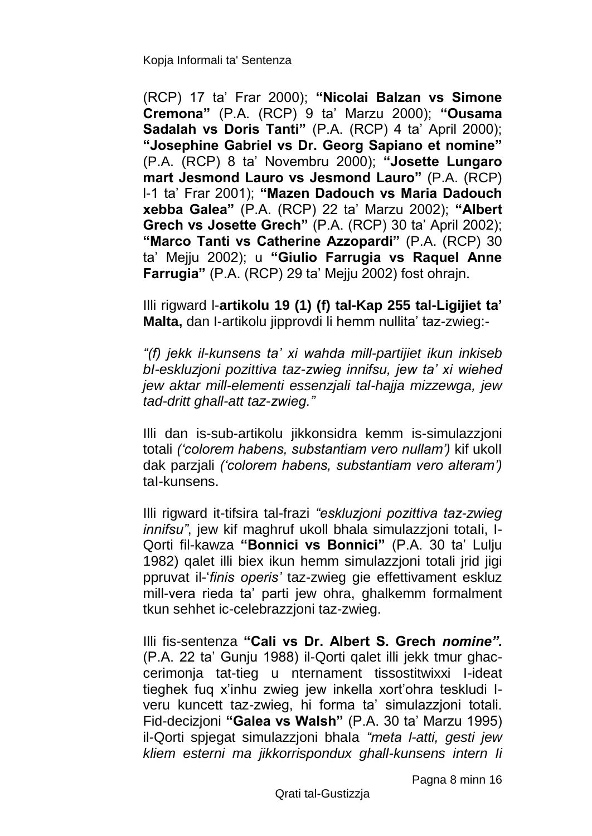(RCP) 17 ta' Frar 2000); **"Nicolai Balzan vs Simone Cremona"** (P.A. (RCP) 9 ta' Marzu 2000); **"Ousama Sadalah vs Doris Tanti"** (P.A. (RCP) 4 ta' April 2000); **"Josephine Gabriel vs Dr. Georg Sapiano et nomine"**  (P.A. (RCP) 8 ta' Novembru 2000); **"Josette Lungaro mart Jesmond Lauro vs Jesmond Lauro"** (P.A. (RCP) l-1 ta' Frar 2001); **"Mazen Dadouch vs Maria Dadouch xebba Galea"** (P.A. (RCP) 22 ta' Marzu 2002); **"Albert Grech vs Josette Grech"** (P.A. (RCP) 30 ta' April 2002); **"Marco Tanti vs Catherine Azzopardi"** (P.A. (RCP) 30 ta' Mejju 2002); u **"Giulio Farrugia vs Raquel Anne Farrugia"** (P.A. (RCP) 29 ta' Mejju 2002) fost ohrajn.

Illi rigward l-**artikolu 19 (1) (f) tal-Kap 255 tal-Ligijiet ta' Malta,** dan I-artikolu jipprovdi li hemm nullita' taz-zwieg:-

*"(f) jekk il-kunsens ta' xi wahda mill-partijiet ikun inkiseb bI-eskluzjoni pozittiva taz-zwieg innifsu, jew ta' xi wiehed jew aktar mill-elementi essenzjali tal-hajja mizzewga, jew tad-dritt ghall-att taz-zwieg."*

Illi dan is-sub-artikolu jikkonsidra kemm is-simulazzjoni totali *('colorem habens, substantiam vero nullam')* kif ukolI dak parzjali *('colorem habens, substantiam vero alteram')*  taI-kunsens.

Illi rigward it-tifsira tal-frazi *"eskluzjoni pozittiva taz-zwieg innifsu*", jew kif maghruf ukoll bhala simulazzioni totali, I-Qorti fil-kawza **"Bonnici vs Bonnici"** (P.A. 30 ta' Lulju 1982) qalet illi biex ikun hemm simulazzjoni totali jrid jigi ppruvat il-'*finis operis'* taz-zwieg gie effettivament eskluz mill-vera rieda ta' parti jew ohra, ghalkemm formalment tkun sehhet ic-celebrazzjoni taz-zwieg.

Illi fis-sentenza **"Cali vs Dr. Albert S. Grech** *nomine".* (P.A. 22 ta' Gunju 1988) il-Qorti qalet illi jekk tmur ghaccerimonja tat-tieg u nternament tissostitwixxi I-ideat tieghek fuq x'inhu zwieg jew inkella xort'ohra teskludi Iveru kuncett taz-zwieg, hi forma ta' simulazzjoni totali. Fid-decizjoni **"Galea vs Walsh"** (P.A. 30 ta' Marzu 1995) il-Qorti spjegat simulazzjoni bhaIa *"meta l-atti, gesti jew kliem esterni ma jikkorrispondux ghall-kunsens intern Ii*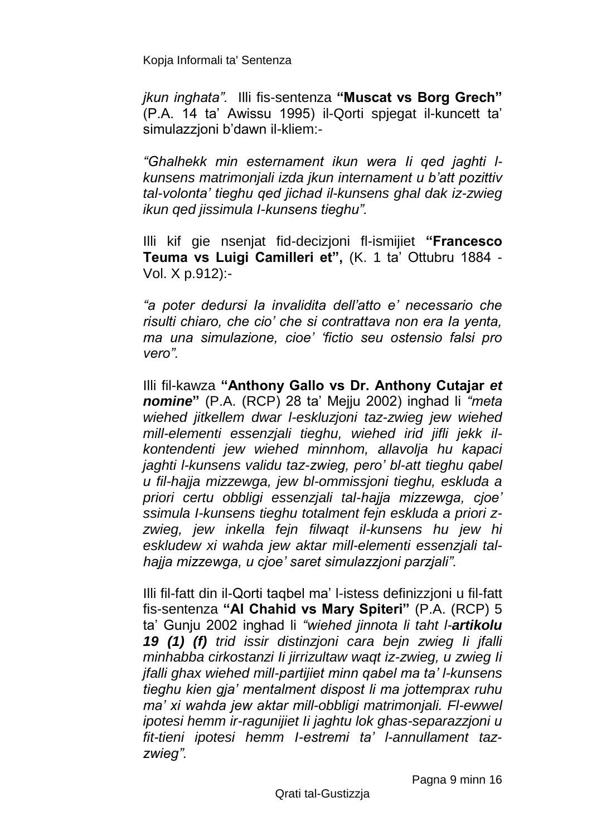*jkun inghata".* Illi fis-sentenza **"Muscat vs Borg Grech"**  (P.A. 14 ta' Awissu 1995) il-Qorti spjegat il-kuncett ta' simulazzjoni b'dawn il-kliem:-

*"Ghalhekk min esternament ikun wera Ii qed jaghti lkunsens matrimonjali izda jkun internament u b'att pozittiv tal-volonta' tieghu qed jichad il-kunsens ghal dak iz-zwieg ikun qed jissimula I-kunsens tieghu".*

Illi kif gie nsenjat fid-decizjoni fl-ismijiet **"Francesco Teuma vs Luigi Camilleri et",** (K. 1 ta' Ottubru 1884 - Vol. X p.912):-

*"a poter dedursi Ia invalidita dell'atto e' necessario che risulti chiaro, che cio' che si contrattava non era Ia yenta, ma una simulazione, cioe' 'fictio seu ostensio falsi pro vero".*

Illi fil-kawza **"Anthony Gallo vs Dr. Anthony Cutajar** *et nomine***"** (P.A. (RCP) 28 ta' Mejju 2002) inghad li *"meta wiehed jitkellem dwar l-eskluzjoni taz-zwieg jew wiehed mill-elementi essenzjali tieghu, wiehed irid jifli jekk ilkontendenti jew wiehed minnhom, allavolja hu kapaci jaghti l-kunsens validu taz-zwieg, pero' bl-att tieghu qabel u fil-hajja mizzewga, jew bl-ommissjoni tieghu, eskluda a priori certu obbligi essenzjali tal-hajja mizzewga, cjoe' ssimula I-kunsens tieghu totalment fejn eskluda a priori zzwieg, jew inkella fejn filwaqt il-kunsens hu jew hi eskludew xi wahda jew aktar mill-elementi essenzjali talhajja mizzewga, u cjoe' saret simulazzjoni parzjali".*

Illi fil-fatt din il-Qorti taqbel ma' l-istess definizzjoni u fil-fatt fis-sentenza **"Al Chahid vs Mary Spiteri"** (P.A. (RCP) 5 ta' Gunju 2002 inghad li *"wiehed jinnota li taht l-artikolu 19 (1) (f) trid issir distinzjoni cara bejn zwieg Ii jfalli minhabba cirkostanzi Ii jirrizultaw waqt iz-zwieg, u zwieg Ii jfalli ghax wiehed mill-partijiet minn qabel ma ta' l-kunsens tieghu kien gja' mentalment dispost li ma jottemprax ruhu ma' xi wahda jew aktar mill-obbligi matrimonjali. Fl-ewwel ipotesi hemm ir-ragunijiet Ii jaghtu lok ghas-separazzjoni u fit-tieni ipotesi hemm I-estremi ta' l-annullament tazzwieg".*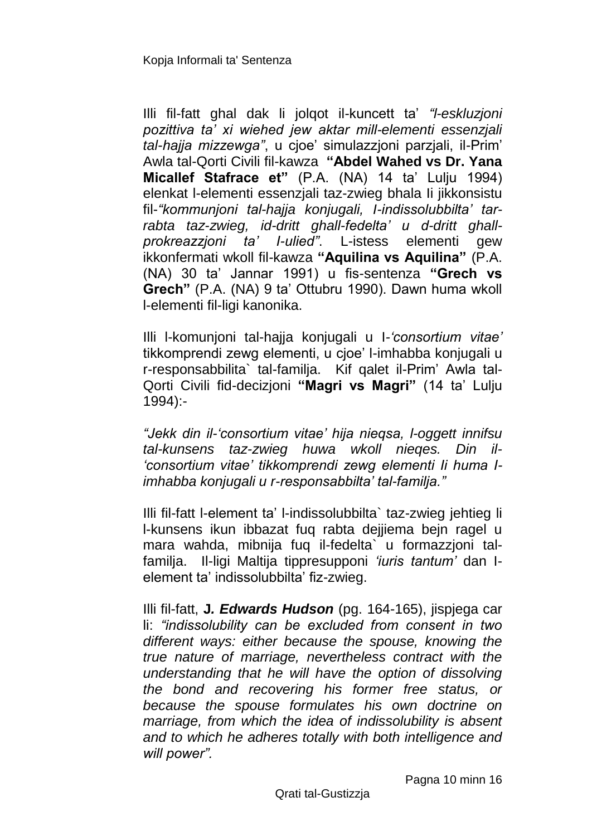Illi fil-fatt ghal dak li jolqot il-kuncett ta' *"l-eskluzjoni pozittiva ta' xi wiehed jew aktar mill-elementi essenzjali tal-hajja mizzewga"*, u cjoe' simulazzjoni parzjali, il-Prim' Awla tal-Qorti Civili fil-kawza **"Abdel Wahed vs Dr. Yana Micallef Stafrace et"** (P.A. (NA) 14 ta' Lulju 1994) elenkat l-elementi essenzjali taz-zwieg bhala Ii jikkonsistu fil-*"kommunjoni tal-hajja konjugali, I-indissolubbilta' tarrabta taz-zwieg, id-dritt ghall-fedelta' u d-dritt ghallprokreazzjoni ta' I-ulied"*. L-istess elementi gew ikkonfermati wkoll fil*-*kawza **"Aquilina vs Aquilina"** (P.A. (NA) 30 ta' Jannar 1991) u fis-sentenza **"Grech vs Grech"** (P.A. (NA) 9 ta' Ottubru 1990). Dawn huma wkoll l-elementi fil-ligi kanonika.

Illi l-komunjoni tal-hajja konjugali u I*-'consortium vitae'* tikkomprendi zewg elementi, u cjoe' l-imhabba konjugali u r-responsabbilita` tal-familja. Kif qalet il-Prim' Awla tal-Qorti Civili fid-decizjoni **"Magri vs Magri"** (14 ta' Lulju 1994):-

*"Jekk din il-'consortium vitae' hija nieqsa, l-oggett innifsu tal-kunsens taz-zwieg huwa wkoll nieqes. Din il- 'consortium vitae' tikkomprendi zewg elementi Ii huma Iimhabba konjugali u r-responsabbilta' tal-familja."*

Illi fil-fatt l-element ta' l-indissolubbilta` taz-zwieg jehtieg li l-kunsens ikun ibbazat fuq rabta dejjiema bejn ragel u mara wahda, mibnija fuq il-fedelta` u formazzjoni talfamilja. Il-ligi Maltija tippresupponi *'iuris tantum'* dan Ielement ta' indissolubbilta' fiz-zwieg.

Illi fil-fatt, **J***. Edwards Hudson* (pg. 164-165), jispjega car li: *"indissolubility can be excluded from consent in two different ways: either because the spouse, knowing the true nature of marriage, nevertheless contract with the understanding that he will have the option of dissolving the bond and recovering his former free status, or because the spouse formulates his own doctrine on marriage, from which the idea of indissolubility is absent and to which he adheres totally with both intelligence and will power".*

Pagna 10 minn 16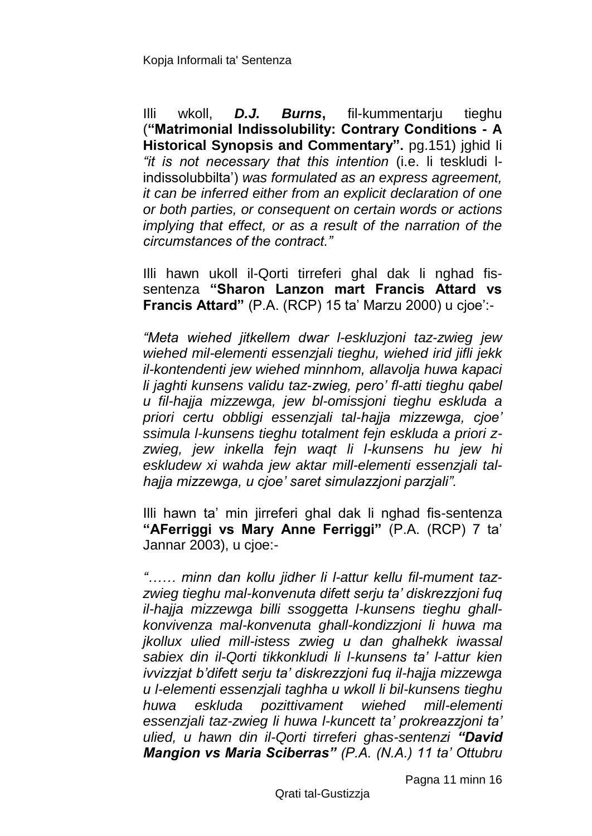Illi wkoll, *D.J. Burns***,** fil-kummentarju tieghu (**"Matrimonial Indissolubility: Contrary Conditions - A Historical Synopsis and Commentary".** pg.151) jghid Ii *"it is not necessary that this intention* (i.e. li teskludi lindissolubbilta') *was formulated as an express agreement, it can be inferred either from an explicit declaration of one or both parties, or consequent on certain words or actions implying that effect, or as a result of the narration of the circumstances of the contract."*

Illi hawn ukoll il-Qorti tirreferi ghal dak li nghad fissentenza **"Sharon Lanzon mart Francis Attard vs Francis Attard"** (P.A. (RCP) 15 ta' Marzu 2000) u cjoe':-

*"Meta wiehed jitkellem dwar l-eskluzjoni taz-zwieg jew wiehed mil-elementi essenzjali tieghu, wiehed irid jifli jekk il-kontendenti jew wiehed minnhom, allavolja huwa kapaci li jaghti kunsens validu taz-zwieg, pero' fl-atti tieghu qabel u fil-hajja mizzewga, jew bl-omissjoni tieghu eskluda a priori certu obbligi essenzjali tal-hajja mizzewga, cjoe' ssimula l-kunsens tieghu totalment fejn eskluda a priori zzwieg, jew inkella fejn waqt li l-kunsens hu jew hi eskludew xi wahda jew aktar mill-elementi essenzjali talhajja mizzewga, u cjoe' saret simulazzjoni parzjali".*

Illi hawn ta' min jirreferi ghal dak li nghad fis-sentenza **"AFerriggi vs Mary Anne Ferriggi"** (P.A. (RCP) 7 ta' Jannar 2003), u cjoe:-

*"…… minn dan kollu jidher li l-attur kellu fil-mument tazzwieg tieghu mal-konvenuta difett serju ta' diskrezzjoni fuq il-hajja mizzewga billi ssoggetta l-kunsens tieghu ghallkonvivenza mal-konvenuta ghall-kondizzjoni li huwa ma jkollux ulied mill-istess zwieg u dan ghalhekk iwassal sabiex din il-Qorti tikkonkludi li l-kunsens ta' l-attur kien ivvizzjat b'difett serju ta' diskrezzjoni fuq il-hajja mizzewga u l-elementi essenzjali taghha u wkoll li bil-kunsens tieghu huwa eskluda pozittivament wiehed mill-elementi essenzjali taz-zwieg li huwa l-kuncett ta' prokreazzjoni ta' ulied, u hawn din il-Qorti tirreferi ghas-sentenzi "David Mangion vs Maria Sciberras" (P.A. (N.A.) 11 ta' Ottubru* 

Pagna 11 minn 16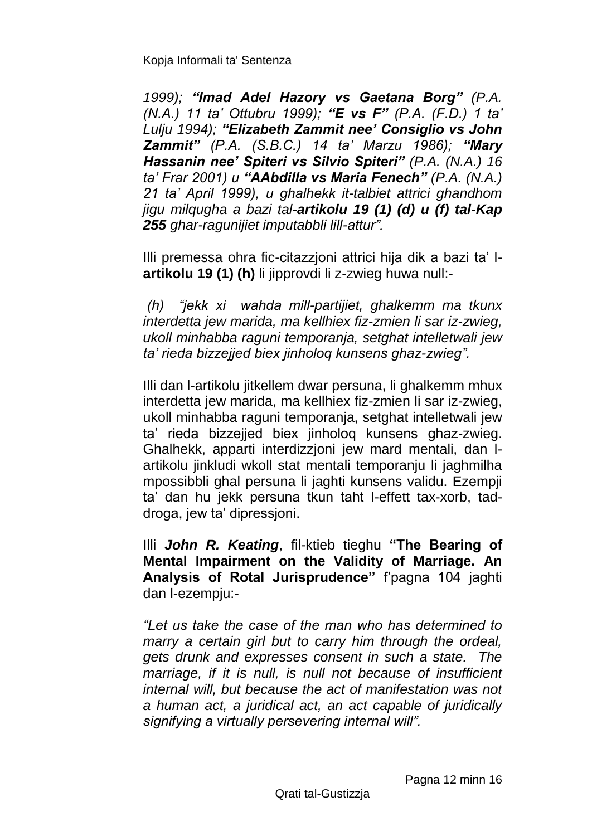*1999); "Imad Adel Hazory vs Gaetana Borg" (P.A. (N.A.) 11 ta' Ottubru 1999); "E vs F" (P.A. (F.D.) 1 ta' Lulju 1994); "Elizabeth Zammit nee' Consiglio vs John Zammit" (P.A. (S.B.C.) 14 ta' Marzu 1986); "Mary Hassanin nee' Spiteri vs Silvio Spiteri" (P.A. (N.A.) 16 ta' Frar 2001) u "AAbdilla vs Maria Fenech" (P.A. (N.A.) 21 ta' April 1999), u ghalhekk it-talbiet attrici ghandhom jigu milqugha a bazi tal-artikolu 19 (1) (d) u (f) tal-Kap 255 ghar-ragunijiet imputabbli lill-attur".*

Illi premessa ohra fic-citazzjoni attrici hija dik a bazi ta' l**artikolu 19 (1) (h)** li jipprovdi li z-zwieg huwa null:-

*(h) "jekk xi wahda mill-partijiet, ghalkemm ma tkunx interdetta jew marida, ma kellhiex fiz-zmien li sar iz-zwieg, ukoll minhabba raguni temporanja, setghat intelletwali jew ta' rieda bizzejjed biex jinholoq kunsens ghaz-zwieg".*

Illi dan l-artikolu jitkellem dwar persuna, li ghalkemm mhux interdetta jew marida, ma kellhiex fiz-zmien li sar iz-zwieg, ukoll minhabba raguni temporanja, setghat intelletwali jew ta' rieda bizzejjed biex jinholoq kunsens ghaz-zwieg. Ghalhekk, apparti interdizzjoni jew mard mentali, dan lartikolu jinkludi wkoll stat mentali temporanju li jaghmilha mpossibbli ghal persuna li jaghti kunsens validu. Ezempji ta' dan hu jekk persuna tkun taht l-effett tax-xorb, taddroga, jew ta' dipressjoni.

Illi *John R. Keating*, fil-ktieb tieghu **"The Bearing of Mental Impairment on the Validity of Marriage. An Analysis of Rotal Jurisprudence"** f'pagna 104 jaghti dan l-ezempju:-

*"Let us take the case of the man who has determined to marry a certain girl but to carry him through the ordeal, gets drunk and expresses consent in such a state. The marriage, if it is null, is null not because of insufficient internal will, but because the act of manifestation was not a human act, a juridical act, an act capable of juridically signifying a virtually persevering internal will".*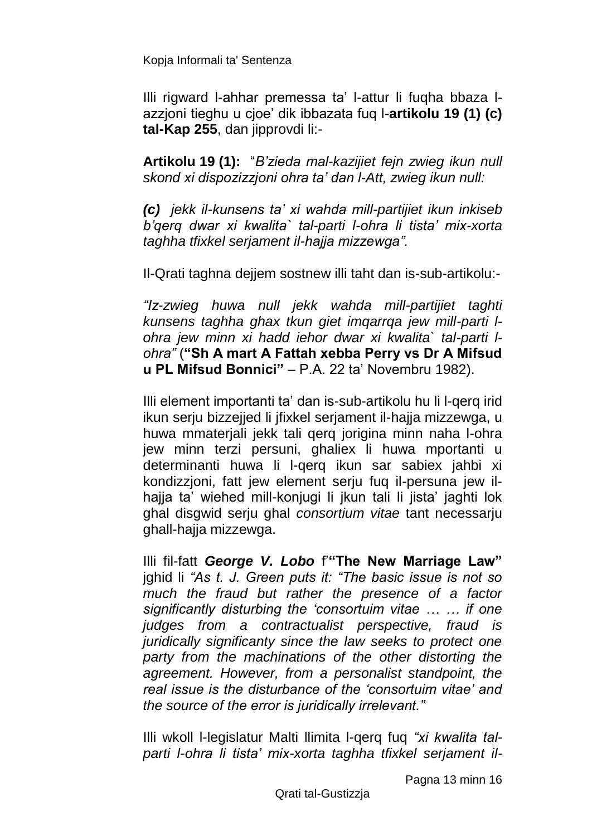Illi rigward l-ahhar premessa ta' l-attur li fuqha bbaza lazzjoni tieghu u cjoe' dik ibbazata fuq l-**artikolu 19 (1) (c) tal-Kap 255**, dan jipprovdi li:-

**Artikolu 19 (1):** "*B'zieda mal-kazijiet fejn zwieg ikun null skond xi dispozizzjoni ohra ta' dan l-Att, zwieg ikun null:*

*(c) jekk il-kunsens ta' xi wahda mill-partijiet ikun inkiseb b'qerq dwar xi kwalita` tal-parti l-ohra li tista' mix-xorta taghha tfixkel serjament il-hajja mizzewga".*

Il-Qrati taghna dejjem sostnew illi taht dan is-sub-artikolu:-

*"Iz-zwieg huwa null jekk wahda mill-partijiet taghti kunsens taghha ghax tkun giet imqarrqa jew mill-parti lohra jew minn xi hadd iehor dwar xi kwalita` tal-parti lohra"* (**"Sh A mart A Fattah xebba Perry vs Dr A Mifsud u PL Mifsud Bonnici"** – P.A. 22 ta' Novembru 1982).

Illi element importanti ta' dan is-sub-artikolu hu li l-qerq irid ikun serju bizzejjed li jfixkel serjament il-hajja mizzewga, u huwa mmaterjali jekk tali qerq jorigina minn naha l-ohra jew minn terzi persuni, ghaliex li huwa mportanti u determinanti huwa li l-qerq ikun sar sabiex jahbi xi kondizzjoni, fatt jew element serju fuq il-persuna jew ilhajja ta' wiehed mill-konjugi li jkun tali li jista' jaghti lok ghal disgwid serju ghal *consortium vitae* tant necessarju ghall-hajja mizzewga.

Illi fil-fatt *George V. Lobo* f'**"The New Marriage Law"**  jghid li *"As t. J. Green puts it: "The basic issue is not so much the fraud but rather the presence of a factor significantly disturbing the 'consortuim vitae … … if one judges from a contractualist perspective, fraud is juridically significanty since the law seeks to protect one party from the machinations of the other distorting the agreement. However, from a personalist standpoint, the real issue is the disturbance of the 'consortuim vitae' and the source of the error is juridically irrelevant."* 

Illi wkoll l-legislatur Malti llimita l-qerq fuq *"xi kwalita talparti l-ohra li tista' mix-xorta taghha tfixkel serjament il-*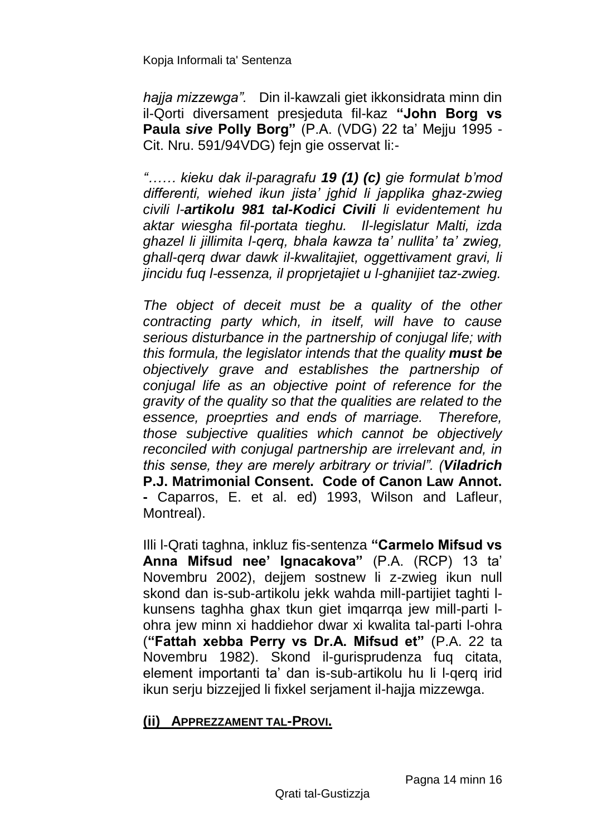*hajja mizzewga".* Din il-kawzali giet ikkonsidrata minn din il-Qorti diversament presjeduta fil-kaz **"John Borg vs Paula** *sive* **Polly Borg"** (P.A. (VDG) 22 ta' Mejju 1995 - Cit. Nru. 591/94VDG) fejn gie osservat li:-

*"…… kieku dak il-paragrafu 19 (1) (c) gie formulat b'mod differenti, wiehed ikun jista' jghid li japplika ghaz-zwieg civili l-artikolu 981 tal-Kodici Civili li evidentement hu aktar wiesgha fil-portata tieghu. Il-legislatur Malti, izda ghazel li jillimita l-qerq, bhala kawza ta' nullita' ta' zwieg, ghall-qerq dwar dawk il-kwalitajiet, oggettivament gravi, li jincidu fuq l-essenza, il proprjetajiet u l-ghanijiet taz-zwieg.*

*The object of deceit must be a quality of the other contracting party which, in itself, will have to cause serious disturbance in the partnership of conjugal life; with this formula, the legislator intends that the quality must be objectively grave and establishes the partnership of conjugal life as an objective point of reference for the gravity of the quality so that the qualities are related to the essence, proeprties and ends of marriage. Therefore, those subjective qualities which cannot be objectively reconciled with conjugal partnership are irrelevant and, in this sense, they are merely arbitrary or trivial". (Viladrich*  **P.J. Matrimonial Consent. Code of Canon Law Annot. -** Caparros, E. et al. ed) 1993, Wilson and Lafleur, Montreal).

Illi l-Qrati taghna, inkluz fis-sentenza **"Carmelo Mifsud vs Anna Mifsud nee' Ignacakova"** (P.A. (RCP) 13 ta' Novembru 2002), dejjem sostnew li z-zwieg ikun null skond dan is-sub-artikolu jekk wahda mill-partijiet taghti lkunsens taghha ghax tkun giet imqarrqa jew mill-parti lohra jew minn xi haddiehor dwar xi kwalita tal-parti l-ohra (**"Fattah xebba Perry vs Dr.A. Mifsud et"** (P.A. 22 ta Novembru 1982). Skond il-gurisprudenza fuq citata, element importanti ta' dan is-sub-artikolu hu li l-qerq irid ikun serju bizzejjed li fixkel serjament il-hajja mizzewga.

### **(ii) APPREZZAMENT TAL-PROVI.**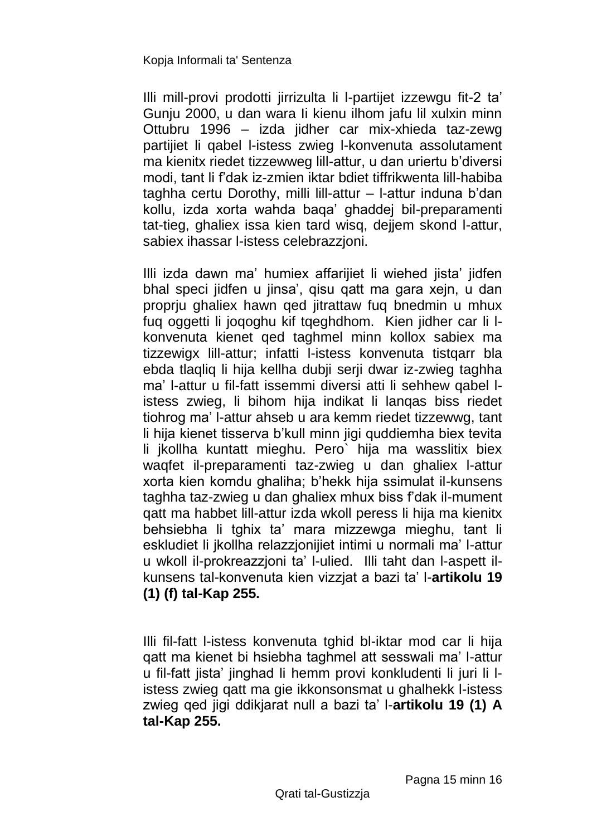Illi mill-provi prodotti jirrizulta li l-partijet izzewgu fit-2 ta' Gunju 2000, u dan wara Ii kienu ilhom jafu lil xulxin minn Ottubru 1996 – izda jidher car mix-xhieda taz-zewg partijiet li qabel l-istess zwieg l-konvenuta assolutament ma kienitx riedet tizzewweg lill-attur, u dan uriertu b'diversi modi, tant li f'dak iz-zmien iktar bdiet tiffrikwenta lill-habiba taghha certu Dorothy, milli lill-attur – l-attur induna b'dan kollu, izda xorta wahda baqa' ghaddej bil-preparamenti tat-tieg, ghaliex issa kien tard wisq, dejjem skond l-attur, sabiex ihassar l-istess celebrazzjoni.

Illi izda dawn ma' humiex affarijiet li wiehed jista' jidfen bhal speci jidfen u jinsa', qisu qatt ma gara xejn, u dan proprju ghaliex hawn qed jitrattaw fuq bnedmin u mhux fuq oggetti li joqoghu kif tqeghdhom. Kien jidher car li lkonvenuta kienet qed taghmel minn kollox sabiex ma tizzewigx lill-attur; infatti l-istess konvenuta tistqarr bla ebda tlaqliq li hija kellha dubji serji dwar iz-zwieg taghha ma' l-attur u fil-fatt issemmi diversi atti li sehhew qabel listess zwieg, li bihom hija indikat li lanqas biss riedet tiohrog ma' l-attur ahseb u ara kemm riedet tizzewwg, tant li hija kienet tisserva b'kull minn jigi quddiemha biex tevita li jkollha kuntatt mieghu. Pero` hija ma wasslitix biex waqfet il-preparamenti taz-zwieg u dan ghaliex l-attur xorta kien komdu ghaliha; b'hekk hija ssimulat il-kunsens taghha taz-zwieg u dan ghaliex mhux biss f'dak il-mument qatt ma habbet lill-attur izda wkoll peress li hija ma kienitx behsiebha li tghix ta' mara mizzewga mieghu, tant li eskludiet li jkollha relazzjonijiet intimi u normali ma' l-attur u wkoll il-prokreazzjoni ta' l-ulied. Illi taht dan l-aspett ilkunsens tal-konvenuta kien vizzjat a bazi ta' l-**artikolu 19 (1) (f) tal-Kap 255.** 

Illi fil-fatt l-istess konvenuta tghid bl-iktar mod car li hija qatt ma kienet bi hsiebha taghmel att sesswali ma' l-attur u fil-fatt jista' jinghad li hemm provi konkludenti li juri li listess zwieg qatt ma gie ikkonsonsmat u ghalhekk l-istess zwieg qed jigi ddikjarat null a bazi ta' l-**artikolu 19 (1) A tal-Kap 255.**